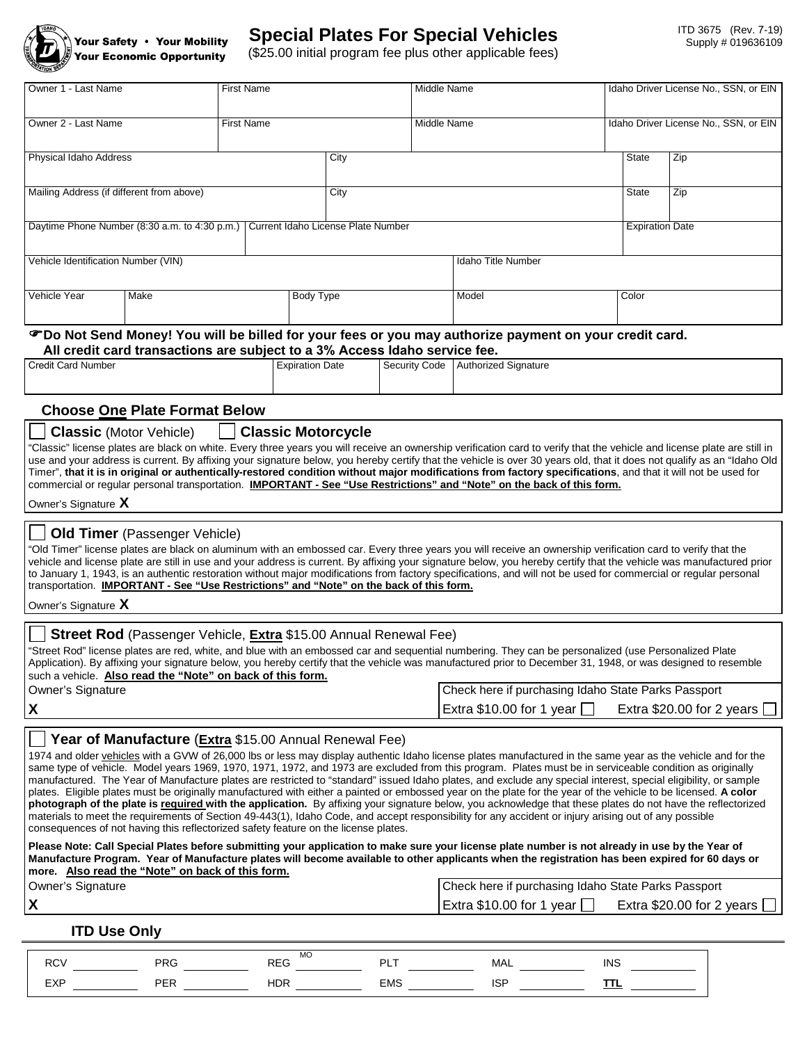

# **Special Plates For Special Vehicles**

(\$25.00 initial program fee plus other applicable fees)

| Owner 1 - Last Name                                                              |                                                                                                                                                                                                   | First Name        |                        |                           | Middle Name                                                                                                                                                                                                                                                                                                                                                                                                                                                                                                                                                                                                                                                                                                                                                                                                                                                                                                                                                                                                                                                                                                                                                                                                                                                                                  |                        | Idaho Driver License No., SSN, or EIN |  |  |
|----------------------------------------------------------------------------------|---------------------------------------------------------------------------------------------------------------------------------------------------------------------------------------------------|-------------------|------------------------|---------------------------|----------------------------------------------------------------------------------------------------------------------------------------------------------------------------------------------------------------------------------------------------------------------------------------------------------------------------------------------------------------------------------------------------------------------------------------------------------------------------------------------------------------------------------------------------------------------------------------------------------------------------------------------------------------------------------------------------------------------------------------------------------------------------------------------------------------------------------------------------------------------------------------------------------------------------------------------------------------------------------------------------------------------------------------------------------------------------------------------------------------------------------------------------------------------------------------------------------------------------------------------------------------------------------------------|------------------------|---------------------------------------|--|--|
| Owner 2 - Last Name                                                              |                                                                                                                                                                                                   | <b>First Name</b> |                        |                           | Middle Name                                                                                                                                                                                                                                                                                                                                                                                                                                                                                                                                                                                                                                                                                                                                                                                                                                                                                                                                                                                                                                                                                                                                                                                                                                                                                  |                        | Idaho Driver License No., SSN, or EIN |  |  |
| Physical Idaho Address                                                           |                                                                                                                                                                                                   |                   |                        | City                      |                                                                                                                                                                                                                                                                                                                                                                                                                                                                                                                                                                                                                                                                                                                                                                                                                                                                                                                                                                                                                                                                                                                                                                                                                                                                                              | State                  | Zip                                   |  |  |
| Mailing Address (if different from above)                                        |                                                                                                                                                                                                   |                   |                        | City                      |                                                                                                                                                                                                                                                                                                                                                                                                                                                                                                                                                                                                                                                                                                                                                                                                                                                                                                                                                                                                                                                                                                                                                                                                                                                                                              |                        | Zip                                   |  |  |
| Daytime Phone Number (8:30 a.m. to 4:30 p.m.) Current Idaho License Plate Number |                                                                                                                                                                                                   |                   |                        |                           |                                                                                                                                                                                                                                                                                                                                                                                                                                                                                                                                                                                                                                                                                                                                                                                                                                                                                                                                                                                                                                                                                                                                                                                                                                                                                              | <b>Expiration Date</b> |                                       |  |  |
| Vehicle Identification Number (VIN)                                              |                                                                                                                                                                                                   |                   |                        | <b>Idaho Title Number</b> |                                                                                                                                                                                                                                                                                                                                                                                                                                                                                                                                                                                                                                                                                                                                                                                                                                                                                                                                                                                                                                                                                                                                                                                                                                                                                              |                        |                                       |  |  |
| Vehicle Year                                                                     | Make                                                                                                                                                                                              |                   | Body Type              |                           | Model                                                                                                                                                                                                                                                                                                                                                                                                                                                                                                                                                                                                                                                                                                                                                                                                                                                                                                                                                                                                                                                                                                                                                                                                                                                                                        | Color                  |                                       |  |  |
|                                                                                  | All credit card transactions are subject to a 3% Access Idaho service fee.                                                                                                                        |                   |                        |                           | <b><i></i></b> ©Do Not Send Money! You will be billed for your fees or you may authorize payment on your credit card.                                                                                                                                                                                                                                                                                                                                                                                                                                                                                                                                                                                                                                                                                                                                                                                                                                                                                                                                                                                                                                                                                                                                                                        |                        |                                       |  |  |
| Credit Card Number                                                               |                                                                                                                                                                                                   |                   | <b>Expiration Date</b> | Security Code             | <b>Authorized Signature</b>                                                                                                                                                                                                                                                                                                                                                                                                                                                                                                                                                                                                                                                                                                                                                                                                                                                                                                                                                                                                                                                                                                                                                                                                                                                                  |                        |                                       |  |  |
|                                                                                  | <b>Choose One Plate Format Below</b>                                                                                                                                                              |                   |                        |                           |                                                                                                                                                                                                                                                                                                                                                                                                                                                                                                                                                                                                                                                                                                                                                                                                                                                                                                                                                                                                                                                                                                                                                                                                                                                                                              |                        |                                       |  |  |
| Owner's Signature X<br>Owner's Signature X                                       | <b>Old Timer</b> (Passenger Vehicle)<br>transportation. <b>IMPORTANT - See "Use Restrictions" and "Note" on the back of this form.</b>                                                            |                   |                        |                           | Timer", that it is in original or authentically-restored condition without major modifications from factory specifications, and that it will not be used for<br>commercial or regular personal transportation. IMPORTANT - See "Use Restrictions" and "Note" on the back of this form.<br>"Old Timer" license plates are black on aluminum with an embossed car. Every three years you will receive an ownership verification card to verify that the<br>vehicle and license plate are still in use and your address is current. By affixing your signature below, you hereby certify that the vehicle was manufactured prior<br>to January 1, 1943, is an authentic restoration without major modifications from factory specifications, and will not be used for commercial or regular personal                                                                                                                                                                                                                                                                                                                                                                                                                                                                                            |                        |                                       |  |  |
|                                                                                  | <b>Street Rod</b> (Passenger Vehicle, Extra \$15.00 Annual Renewal Fee)<br>such a vehicle. Also read the "Note" on back of this form.                                                             |                   |                        |                           | "Street Rod" license plates are red, white, and blue with an embossed car and sequential numbering. They can be personalized (use Personalized Plate<br>Application). By affixing your signature below, you hereby certify that the vehicle was manufactured prior to December 31, 1948, or was designed to resemble<br>Check here if purchasing Idaho State Parks Passport                                                                                                                                                                                                                                                                                                                                                                                                                                                                                                                                                                                                                                                                                                                                                                                                                                                                                                                  |                        |                                       |  |  |
| Owner's Signature<br>X                                                           |                                                                                                                                                                                                   |                   |                        |                           | Extra \$10.00 for 1 year $\Box$                                                                                                                                                                                                                                                                                                                                                                                                                                                                                                                                                                                                                                                                                                                                                                                                                                                                                                                                                                                                                                                                                                                                                                                                                                                              |                        | Extra $$20.00$ for 2 years [          |  |  |
|                                                                                  | Year of Manufacture (Extra \$15.00 Annual Renewal Fee)<br>consequences of not having this reflectorized safety feature on the license plates.<br>more. Also read the "Note" on back of this form. |                   |                        |                           | 1974 and older vehicles with a GVW of 26,000 lbs or less may display authentic Idaho license plates manufactured in the same year as the vehicle and for the<br>same type of vehicle. Model years 1969, 1970, 1971, 1972, and 1973 are excluded from this program. Plates must be in serviceable condition as originally<br>manufactured. The Year of Manufacture plates are restricted to "standard" issued Idaho plates, and exclude any special interest, special eligibility, or sample<br>plates. Eligible plates must be originally manufactured with either a painted or embossed year on the plate for the year of the vehicle to be licensed. A color<br>photograph of the plate is required with the application. By affixing your signature below, you acknowledge that these plates do not have the reflectorized<br>materials to meet the requirements of Section 49-443(1), Idaho Code, and accept responsibility for any accident or injury arising out of any possible<br>Please Note: Call Special Plates before submitting your application to make sure your license plate number is not already in use by the Year of<br>Manufacture Program. Year of Manufacture plates will become available to other applicants when the registration has been expired for 60 days or |                        |                                       |  |  |
| Owner's Signature<br>X                                                           |                                                                                                                                                                                                   |                   |                        |                           | Check here if purchasing Idaho State Parks Passport<br>Extra \$10.00 for 1 year $\Box$                                                                                                                                                                                                                                                                                                                                                                                                                                                                                                                                                                                                                                                                                                                                                                                                                                                                                                                                                                                                                                                                                                                                                                                                       |                        | Extra \$20.00 for 2 years $\square$   |  |  |
| <b>ITD Use Only</b>                                                              |                                                                                                                                                                                                   |                   |                        |                           |                                                                                                                                                                                                                                                                                                                                                                                                                                                                                                                                                                                                                                                                                                                                                                                                                                                                                                                                                                                                                                                                                                                                                                                                                                                                                              |                        |                                       |  |  |
|                                                                                  |                                                                                                                                                                                                   |                   |                        |                           |                                                                                                                                                                                                                                                                                                                                                                                                                                                                                                                                                                                                                                                                                                                                                                                                                                                                                                                                                                                                                                                                                                                                                                                                                                                                                              |                        |                                       |  |  |

| $\sim$          |          | MO<br>-- | ום         | Mal | IN: |
|-----------------|----------|----------|------------|-----|-----|
| $\Gamma$<br>∟∧г | <b>L</b> |          | <b>EMS</b> |     |     |